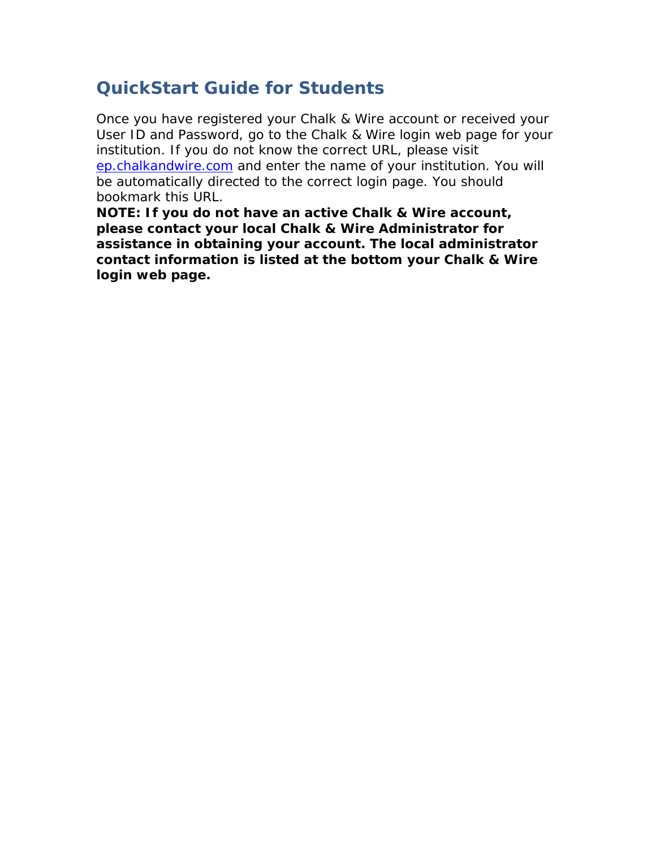# **QuickStart Guide for Students**

Once you have registered your Chalk & Wire account or received your User ID and Password, go to the Chalk & Wire login web page for your institution. If you do not know the correct URL, please visit [ep.chalkandwire.com](http://ep.chalkandwire.com/) and enter the name of your institution. You will be automatically directed to the correct login page. You should bookmark this URL.

**NOTE: If you do not have an active Chalk & Wire account, please contact your local Chalk & Wire Administrator for assistance in obtaining your account. The local administrator contact information is listed at the bottom your Chalk & Wire login web page.**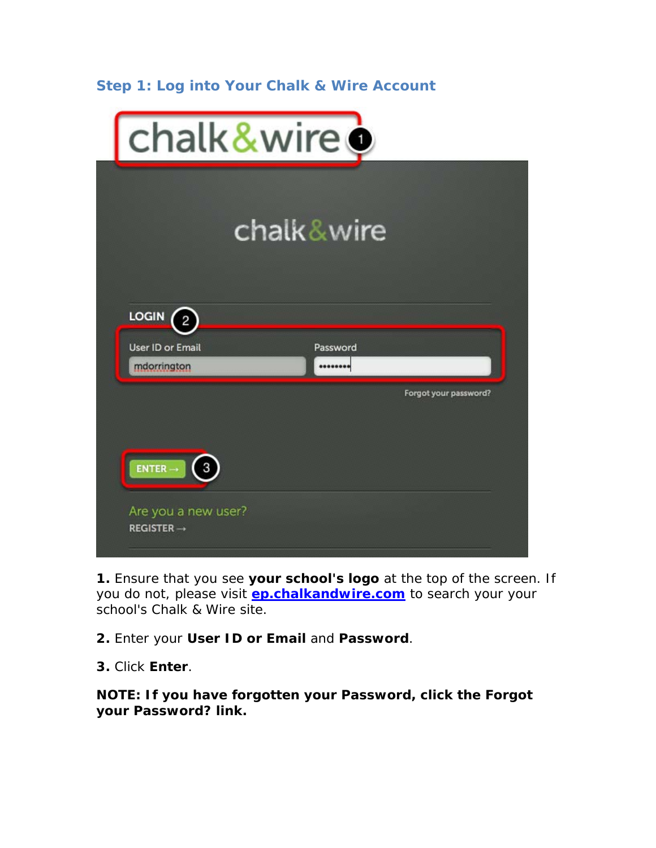# **Step 1: Log into Your Chalk & Wire Account**

| chalk&wire ·                                  |                                       |
|-----------------------------------------------|---------------------------------------|
|                                               | chalk&wire                            |
| <b>LOGIN</b><br>$\overline{2}$                |                                       |
| User ID or Email<br>mdorrington               | Password<br><br>Forgot your password? |
| $ENTER \rightarrow$<br>3                      |                                       |
| Are you a new user?<br>$REGISTER \rightarrow$ |                                       |

**1.** Ensure that you see **your school's logo** at the top of the screen. If you do not, please visit **[ep.chalkandwire.com](http://ep.chalkandwire.com/)** to search your your school's Chalk & Wire site.

**2.** Enter your **User ID or Email** and **Password**.

**3.** Click **Enter**.

**NOTE: If you have forgotten your Password, click the Forgot your Password? link.**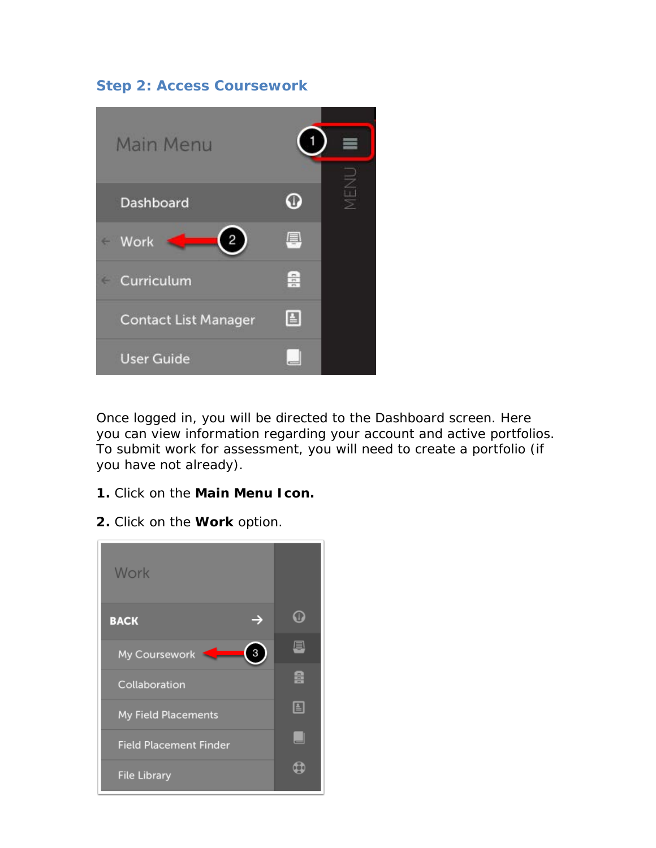# **Step 2: Access Coursework**



Once logged in, you will be directed to the Dashboard screen. Here you can view information regarding your account and active portfolios. To submit work for assessment, you will need to create a portfolio (if you have not already).

- **1.** Click on the **Main Menu Icon.**
- **2.** Click on the **Work** option.

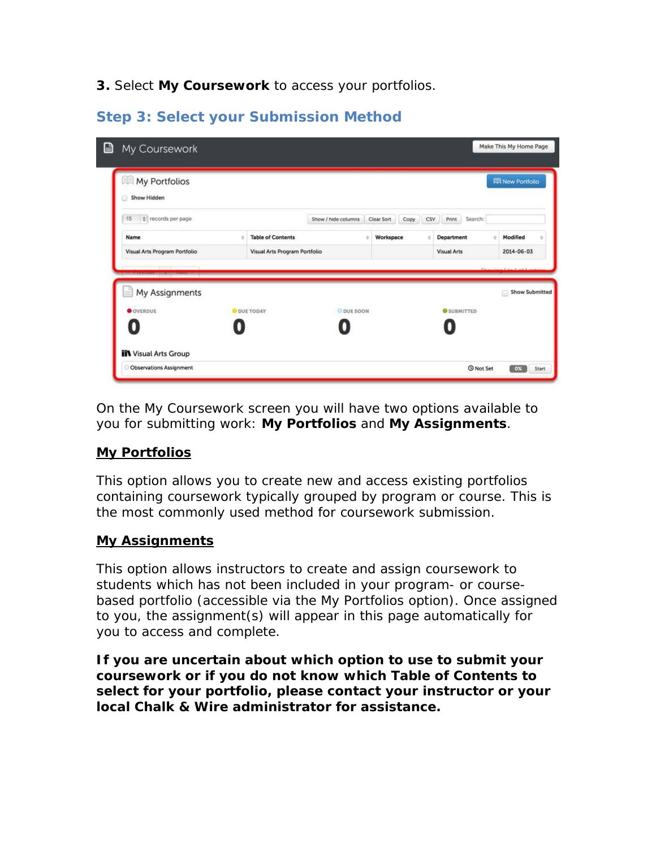**3.** Select **My Coursework** to access your portfolios.

# **Step 3: Select your Submission Method**

| My Portfolios<br>Show Hidden<br>ß     |    |                               |                     |                |      |     |                    |         |   | <b>ID New Portfolio</b> |  |
|---------------------------------------|----|-------------------------------|---------------------|----------------|------|-----|--------------------|---------|---|-------------------------|--|
| # records per page<br>15              |    |                               | Show / hide columns | Clear Sort     | Copy | CSV | Print              | Search: |   |                         |  |
| Name                                  | a. | <b>Table of Contents</b>      |                     | Workspace<br>÷ |      | ö   | Department         |         | ٠ | Modified                |  |
|                                       |    |                               |                     |                |      |     |                    |         |   |                         |  |
| Visual Arts Program Portfolio         |    | Visual Arts Program Portfolio |                     |                |      |     | <b>Visual Arts</b> |         |   | 2014-06-03              |  |
| My Assignments<br>E<br><b>OVERDUE</b> |    | <b>O</b> DUE TODAY            | O DUE SOON          |                |      |     | <b>O</b> SUBMITTED |         |   | Show Submitted          |  |
| 0                                     |    |                               |                     |                |      |     |                    |         |   |                         |  |

On the My Coursework screen you will have two options available to you for submitting work: **My Portfolios** and **My Assignments**.

#### **My Portfolios**

This option allows you to create new and access existing portfolios containing coursework typically grouped by program or course. This is the most commonly used method for coursework submission.

#### **My Assignments**

This option allows instructors to create and assign coursework to students which has not been included in your program- or coursebased portfolio (accessible via the My Portfolios option). Once assigned to you, the assignment(s) will appear in this page automatically for you to access and complete.

**If you are uncertain about which option to use to submit your coursework or if you do not know which Table of Contents to select for your portfolio, please contact your instructor or your**  *local* **Chalk & Wire administrator for assistance.**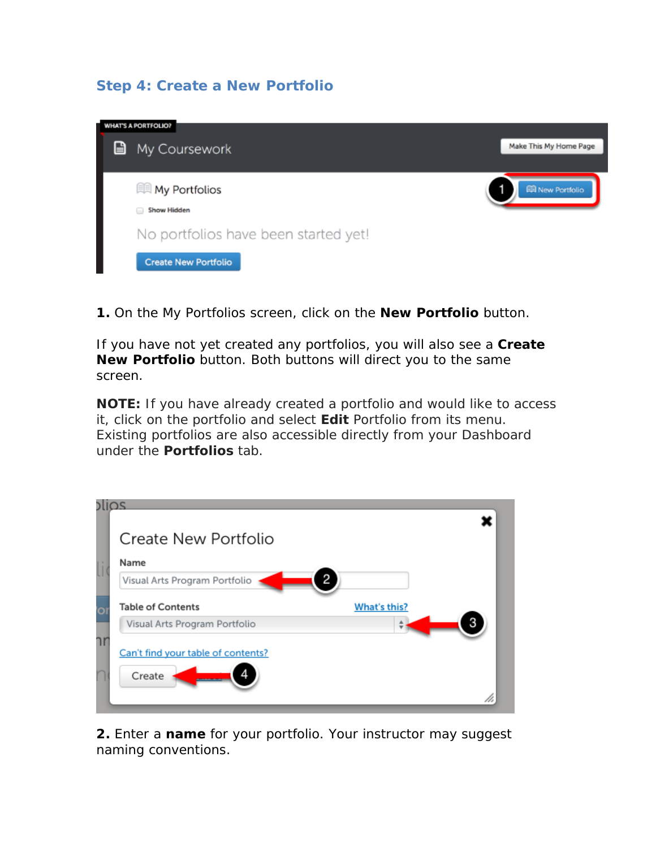# **Step 4: Create a New Portfolio**



**1.** On the My Portfolios screen, click on the **New Portfolio** button.

If you have not yet created any portfolios, you will also see a **Create New Portfolio** button. Both buttons will direct you to the same screen.

**NOTE:** If you have already created a portfolio and would like to access it, click on the portfolio and select **Edit** Portfolio from its menu. Existing portfolios are also accessible directly from your Dashboard under the **Portfolios** tab.

| Create New Portfolio                                      |              |
|-----------------------------------------------------------|--------------|
| Name<br>$\overline{2}$<br>Visual Arts Program Portfolio   |              |
| <b>Table of Contents</b><br>Visual Arts Program Portfolio | What's this? |
| Can't find your table of contents?<br>Create              |              |
|                                                           |              |

**2.** Enter a **name** for your portfolio. Your instructor may suggest naming conventions.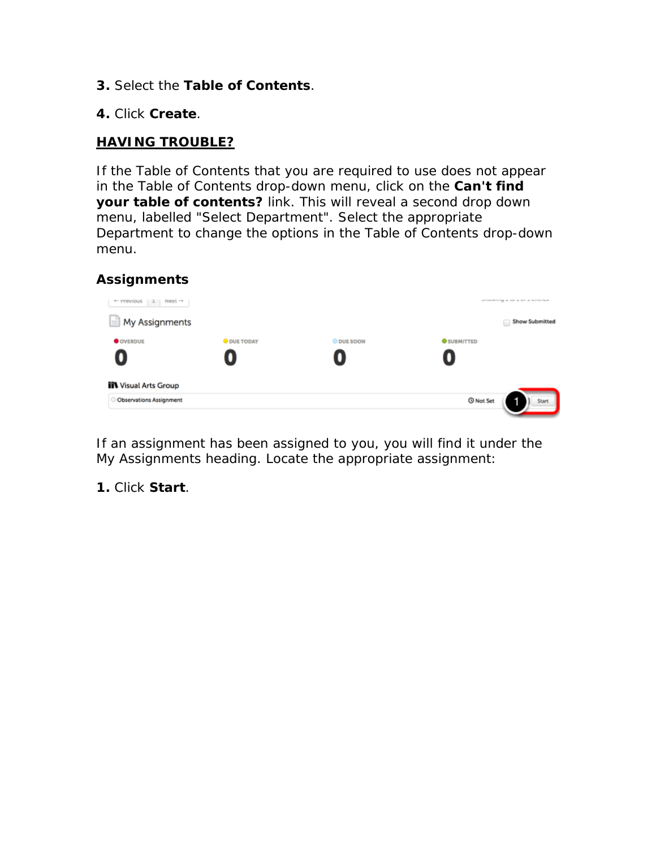- **3.** Select the **Table of Contents**.
- **4.** Click **Create***.*

#### **HAVING TROUBLE?**

If the Table of Contents that you are required to use does not appear in the Table of Contents drop-down menu, click on the *Can't find your table of contents?* link. This will reveal a second drop down menu, labelled "Select Department". Select the appropriate Department to change the options in the Table of Contents drop-down menu.

#### **Assignments**



If an assignment has been assigned to you, you will find it under the My Assignments heading. Locate the appropriate assignment:

**1.** Click **Start**.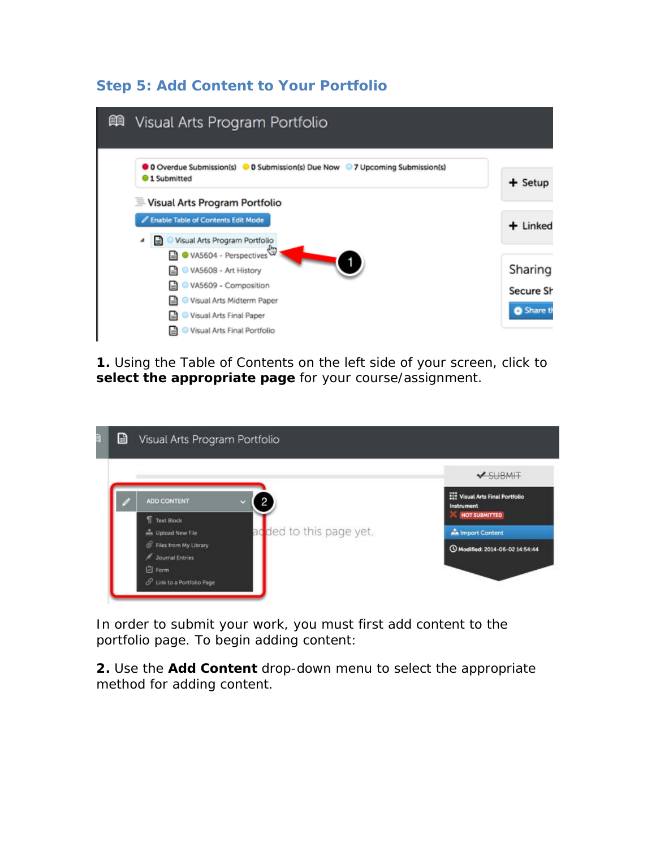# **Step 5: Add Content to Your Portfolio**

| 顅<br>Visual Arts Program Portfolio                                                                             |                      |
|----------------------------------------------------------------------------------------------------------------|----------------------|
| ● 0 Overdue Submission(s) ● 0 Submission(s) Due Now ● 7 Upcoming Submission(s)<br><b>1</b> Submitted           | $+$ Setup            |
| Visual Arts Program Portfolio<br>Enable Table of Contents Edit Mode<br>Visual Arts Program Portfolio<br>ы<br>◢ | $+$ Linked           |
| VA5604 - Perspectives<br>VA5608 - Art History<br>VA5609 - Composition                                          | Sharing<br>Secure Sh |
| Visual Arts Midterm Paper<br>Visual Arts Final Paper<br>Visual Arts Final Portfolio                            | Share th             |

**1.** Using the Table of Contents on the left side of your screen, click to **select the appropriate page** for your course/assignment.

|                                                                           | $\vee$ SUBMIT                                                            |
|---------------------------------------------------------------------------|--------------------------------------------------------------------------|
| ADD CONTENT<br>$\mathbf{2}$<br>95                                         | <b>Wisual Arts Final Portfolio</b><br>Instrument<br><b>NOT SUBMITTED</b> |
| Text Block<br>ac <mark>i</mark> ded to this page yet.<br>Lipload New File | <b>A</b> Import Content                                                  |
| <b>&amp;</b> Files from My Library                                        | O Modified: 2014-06-02 14:54:44                                          |
| <b>E</b> Journal Entries                                                  |                                                                          |

In order to submit your work, you must first add content to the portfolio page. To begin adding content:

**2.** Use the **Add Content** drop-down menu to select the appropriate method for adding content.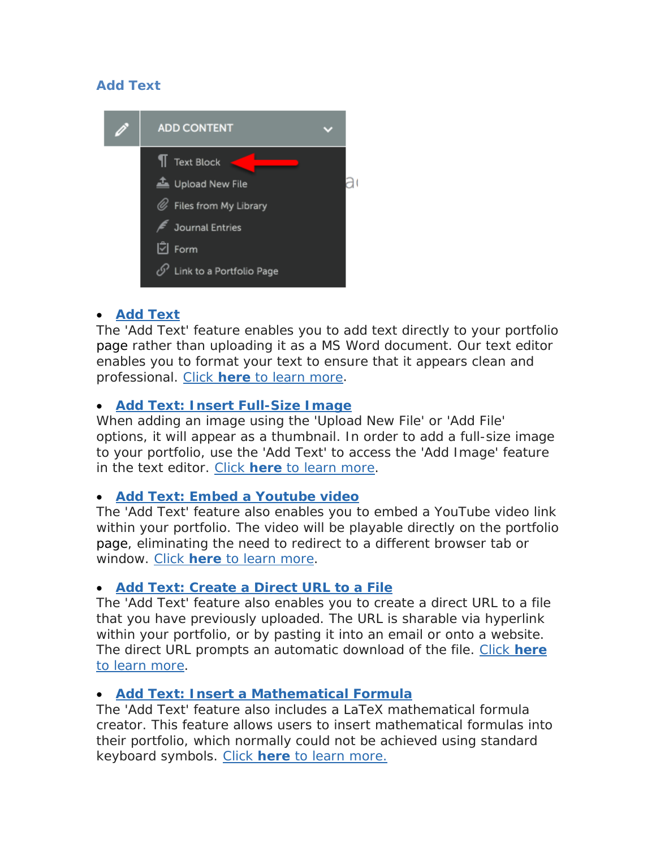#### **Add Text**



#### • **[Add Text](http://userguide.chalkandwire.com/d/e7t3mc)**

The 'Add Text' feature enables you to add text directly to your portfolio page rather than uploading it as a MS Word document. Our text editor enables you to format your text to ensure that it appears clean and professional. [Click](http://userguide.chalkandwire.com/d/e7t3mc) **[here](http://userguide.chalkandwire.com/d/e7t3mc)** [to learn more.](http://userguide.chalkandwire.com/d/e7t3mc)

## • **[Add Text: Insert Full-Size Image](http://userguide.chalkandwire.com/d/q7x9d9)**

When adding an image using the 'Upload New File' or 'Add File' options, it will appear as a thumbnail. In order to add a full-size image to your portfolio, use the 'Add Text' to access the 'Add Image' feature in the text editor. [Click](http://userguide.chalkandwire.com/d/q7x9d9) **[here](http://userguide.chalkandwire.com/d/q7x9d9)** [to learn more.](http://userguide.chalkandwire.com/d/q7x9d9)

#### • **[Add Text: Embed a Youtube video](http://userguide.chalkandwire.com/d/kc4hv9)**

The 'Add Text' feature also enables you to embed a YouTube video link within your portfolio. The video will be playable directly on the portfolio page, eliminating the need to redirect to a different browser tab or window. [Click](http://userguide.chalkandwire.com/d/kc4hv9) **[here](http://userguide.chalkandwire.com/d/kc4hv9)** [to learn more.](http://userguide.chalkandwire.com/d/kc4hv9)

# • **[Add Text: Create a Direct URL to a File](http://userguide.chalkandwire.com/d/22jxhy)**

The 'Add Text' feature also enables you to create a direct URL to a file that you have previously uploaded. The URL is sharable via hyperlink within your portfolio, or by pasting it into an email or onto a website. The direct URL prompts an automatic download of the file. [Click](http://userguide.chalkandwire.com/d/22jxhy) **[here](http://userguide.chalkandwire.com/d/22jxhy)** [to learn more.](http://userguide.chalkandwire.com/d/22jxhy)

#### • **[Add Text: Insert a Mathematical Formula](http://userguide.chalkandwire.com/d/6yh6hx)**

The 'Add Text' feature also includes a LaTeX mathematical formula creator. This feature allows users to insert mathematical formulas into their portfolio, which normally could not be achieved using standard keyboard symbols. [Click](http://userguide.chalkandwire.com/d/6yh6hx) **[here](http://userguide.chalkandwire.com/d/6yh6hx)** [to learn more.](http://userguide.chalkandwire.com/d/6yh6hx)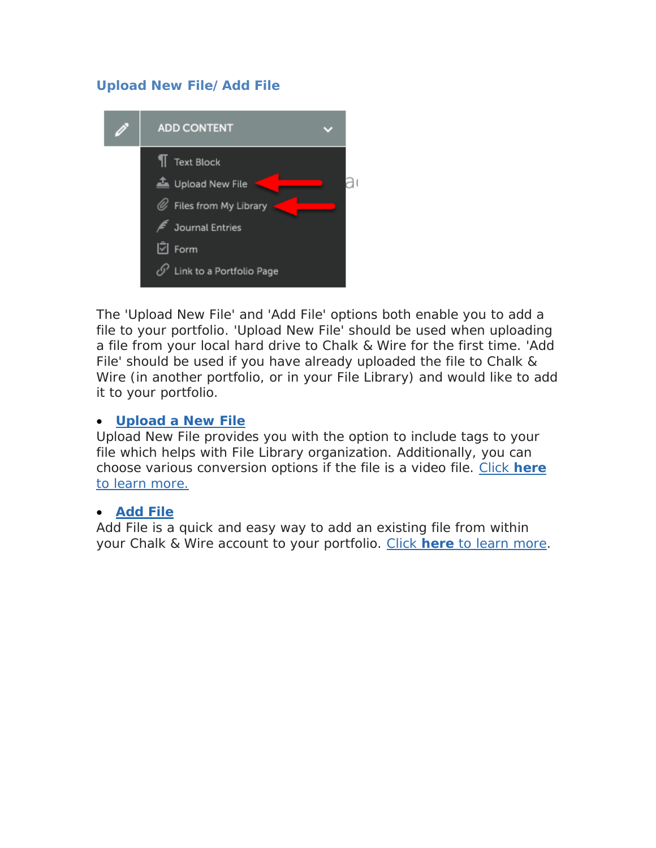# **Upload New File/Add File**



The 'Upload New File' and 'Add File' options both enable you to add a file to your portfolio. 'Upload New File' should be used when uploading a file from your local hard drive to Chalk & Wire for the first time. 'Add File' should be used if you have already uploaded the file to Chalk & Wire (in another portfolio, or in your File Library) and would like to add it to your portfolio.

#### • **[Upload a New File](http://userguide.chalkandwire.com/d/v3d96f)**

Upload New File provides you with the option to include tags to your file which helps with File Library organization. Additionally, you can choose various conversion options if the file is a video file. [Click](http://userguide.chalkandwire.com/d/v3d96f) **[here](http://userguide.chalkandwire.com/d/v3d96f)** [to learn more.](http://userguide.chalkandwire.com/d/v3d96f)

#### • **[Add File](http://userguide.chalkandwire.com/d/jfj3xt)**

Add File is a quick and easy way to add an existing file from within your Chalk & Wire account to your portfolio. [Click](http://userguide.chalkandwire.com/d/jfj3xt) **[here](http://userguide.chalkandwire.com/d/jfj3xt)** [to learn more.](http://userguide.chalkandwire.com/d/jfj3xt)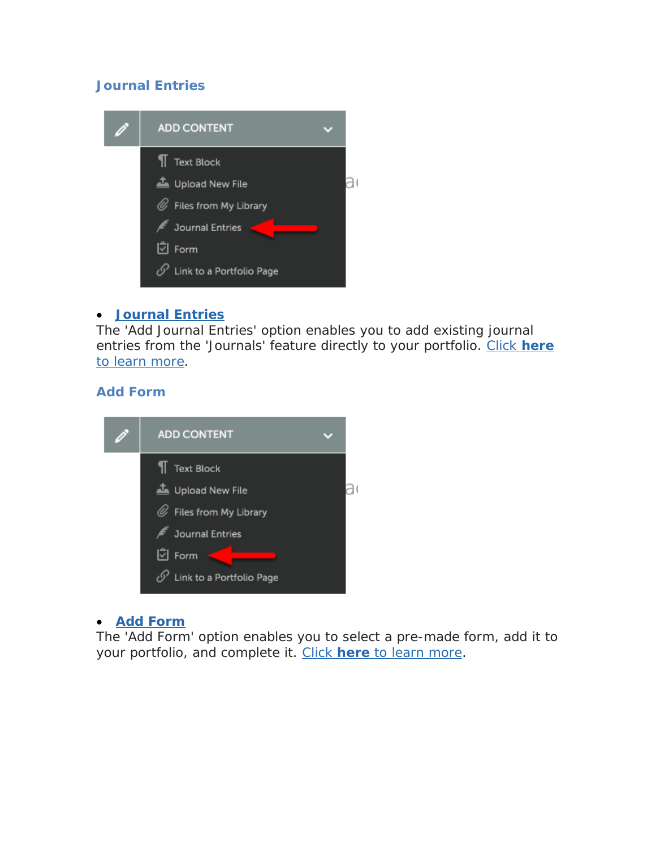## **Journal Entries**



#### • **[Journal Entries](http://userguide.chalkandwire.com/d/6jg6ng)**

The 'Add Journal Entries' option enables you to add existing journal entries from the 'Journals' feature directly to your portfolio. [Click](http://userguide.chalkandwire.com/d/6jg6ng) **[here](http://userguide.chalkandwire.com/d/6jg6ng)** [to learn more.](http://userguide.chalkandwire.com/d/6jg6ng)

#### **Add Form**



#### • **[Add Form](http://userguide.chalkandwire.com/d/kfdaqc)**

The 'Add Form' option enables you to select a pre-made form, add it to your portfolio, and complete it. [Click](http://userguide.chalkandwire.com/d/kfdaqc) **[here](http://userguide.chalkandwire.com/d/kfdaqc)** [to learn more.](http://userguide.chalkandwire.com/d/kfdaqc)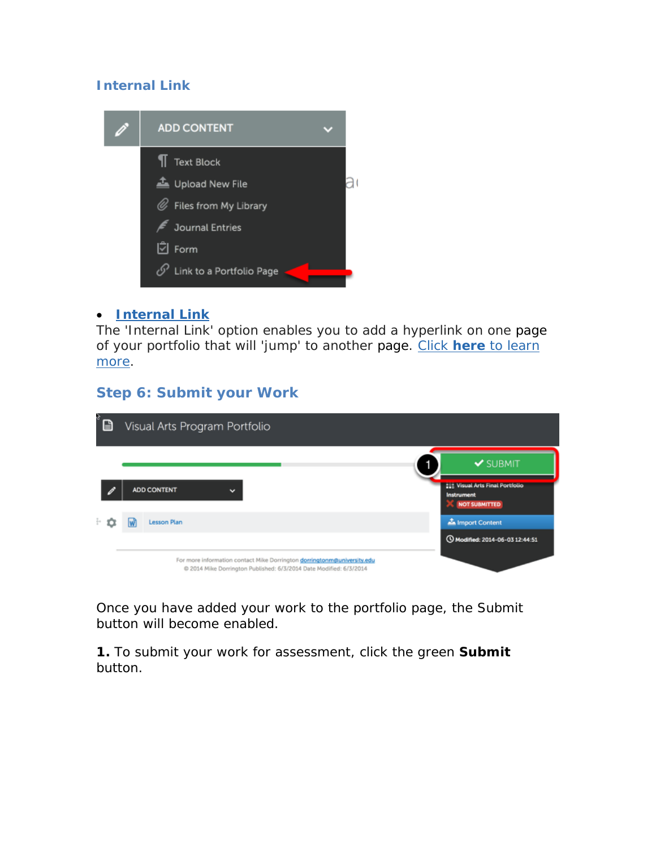## **Internal Link**



#### • **[Internal Link](http://userguide.chalkandwire.com/d/3kevet)**

The 'Internal Link' option enables you to add a hyperlink on one page of your portfolio that will 'jump' to another page. [Click](http://userguide.chalkandwire.com/d/3kevet) **[here](http://userguide.chalkandwire.com/d/3kevet)** [to learn](http://userguide.chalkandwire.com/d/3kevet)  [more.](http://userguide.chalkandwire.com/d/3kevet)

# **Step 6: Submit your Work**

| s<br>B | Visual Arts Program Portfolio                                                                                                                 |                                                                              |
|--------|-----------------------------------------------------------------------------------------------------------------------------------------------|------------------------------------------------------------------------------|
|        |                                                                                                                                               | $\blacktriangleright$ SUBMIT                                                 |
|        | ADD CONTENT<br>$\checkmark$                                                                                                                   | <b>222 Visual Arts Final Portfolio</b><br>Instrument<br><b>NOT SUBMITTED</b> |
| ÷σ     | Lesson Plan                                                                                                                                   | Import Content                                                               |
|        |                                                                                                                                               | C Modified: 2014-06-03 12:44:51                                              |
|        | For more information contact Mike Dorrington dorringtonm@university.edu<br>@ 2014 Mike Dorrington Published: 6/3/2014 Date Modified: 6/3/2014 |                                                                              |

Once you have added your work to the portfolio page, the Submit button will become enabled.

**1.** To submit your work for assessment, click the green **Submit** button.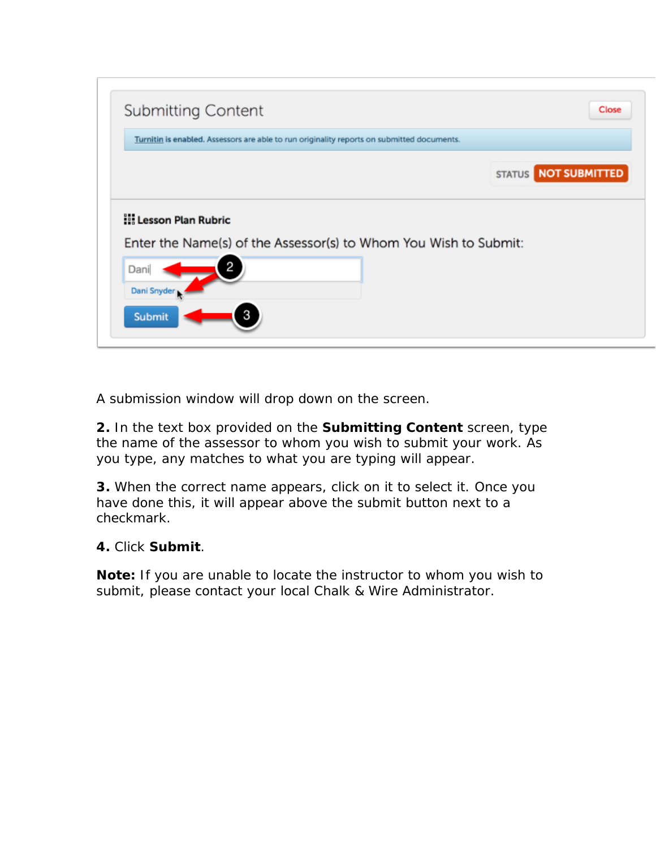

A submission window will drop down on the screen.

**2.** In the text box provided on the **Submitting Content** screen, type the name of the assessor to whom you wish to submit your work. As you type, any matches to what you are typing will appear.

**3.** When the correct name appears, click on it to select it. Once you have done this, it will appear above the submit button next to a checkmark.

# **4.** Click **Submit**.

**Note:** If you are unable to locate the instructor to whom you wish to submit, please contact your *local* Chalk & Wire Administrator.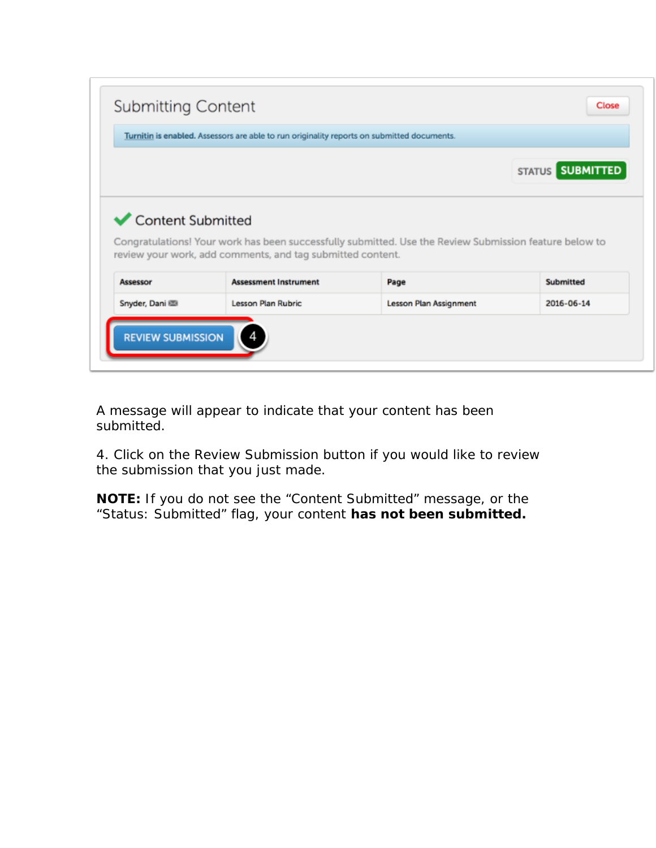|                   | Turnitin is enabled. Assessors are able to run originality reports on submitted documents. |                                                                                                                |                         |
|-------------------|--------------------------------------------------------------------------------------------|----------------------------------------------------------------------------------------------------------------|-------------------------|
|                   |                                                                                            |                                                                                                                | <b>STATUS SUBMITTED</b> |
| Content Submitted |                                                                                            |                                                                                                                |                         |
| <b>Assessor</b>   | review your work, add comments, and tag submitted content.<br><b>Assessment Instrument</b> | Congratulations! Your work has been successfully submitted. Use the Review Submission feature below to<br>Page | <b>Submitted</b>        |
| Snyder, Dani      | Lesson Plan Rubric                                                                         | Lesson Plan Assignment                                                                                         | 2016-06-14              |

A message will appear to indicate that your content has been submitted.

4. Click on the Review Submission button if you would like to review the submission that you just made.

**NOTE:** If you do not see the "Content Submitted" message, or the "Status: Submitted" flag, your content **has not been submitted.**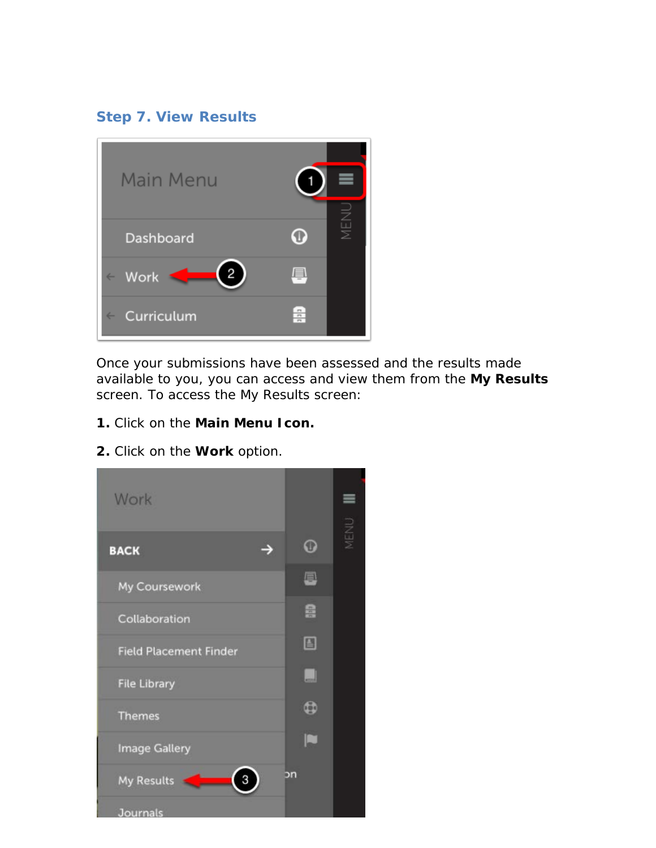# **Step 7. View Results**



Once your submissions have been assessed and the results made available to you, you can access and view them from the **My Results** screen. To access the My Results screen:

- **1.** Click on the **Main Menu Icon.**
- $\equiv$ Work MENU  $\Omega$  $\rightarrow$ **BACK** 8 My Coursework 鼻 Collaboration 圖 **Field Placement Finder**  $\Box$ **File Library**  $\mathbf{\Phi}$ **Themes** n **Image Gallery** bn My Results  $\mathbf{3}$ Journals
- **2.** Click on the **Work** option.